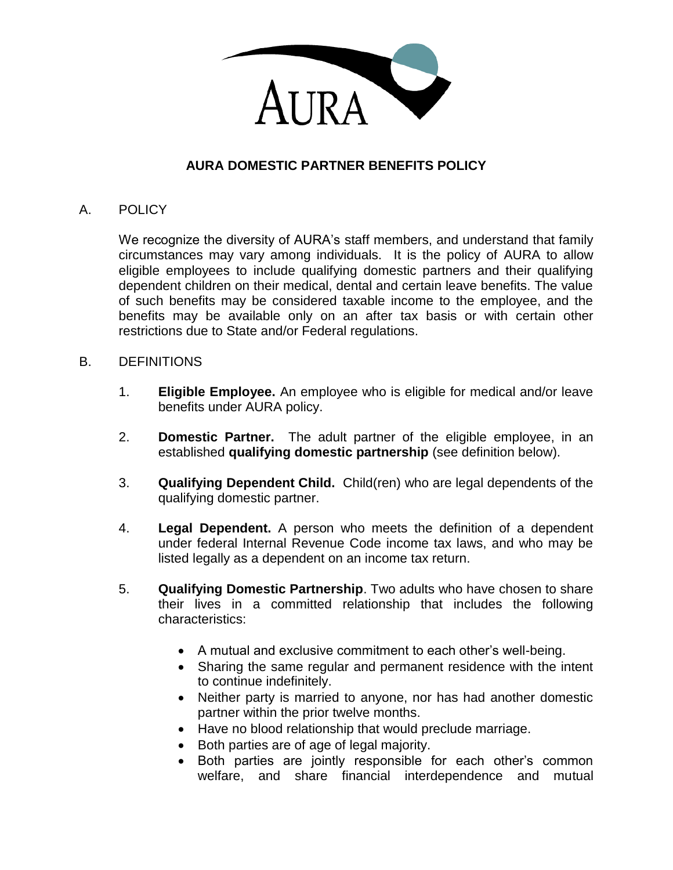

### **AURA DOMESTIC PARTNER BENEFITS POLICY**

### A. POLICY

We recognize the diversity of AURA's staff members, and understand that family circumstances may vary among individuals. It is the policy of AURA to allow eligible employees to include qualifying domestic partners and their qualifying dependent children on their medical, dental and certain leave benefits. The value of such benefits may be considered taxable income to the employee, and the benefits may be available only on an after tax basis or with certain other restrictions due to State and/or Federal regulations.

#### B. DEFINITIONS

- 1. **Eligible Employee.** An employee who is eligible for medical and/or leave benefits under AURA policy.
- 2. **Domestic Partner.** The adult partner of the eligible employee, in an established **qualifying domestic partnership** (see definition below).
- 3. **Qualifying Dependent Child.** Child(ren) who are legal dependents of the qualifying domestic partner.
- 4. **Legal Dependent.** A person who meets the definition of a dependent under federal Internal Revenue Code income tax laws, and who may be listed legally as a dependent on an income tax return.
- 5. **Qualifying Domestic Partnership**. Two adults who have chosen to share their lives in a committed relationship that includes the following characteristics:
	- A mutual and exclusive commitment to each other's well-being.
	- Sharing the same regular and permanent residence with the intent to continue indefinitely.
	- Neither party is married to anyone, nor has had another domestic partner within the prior twelve months.
	- Have no blood relationship that would preclude marriage.
	- Both parties are of age of legal majority.
	- Both parties are jointly responsible for each other's common welfare, and share financial interdependence and mutual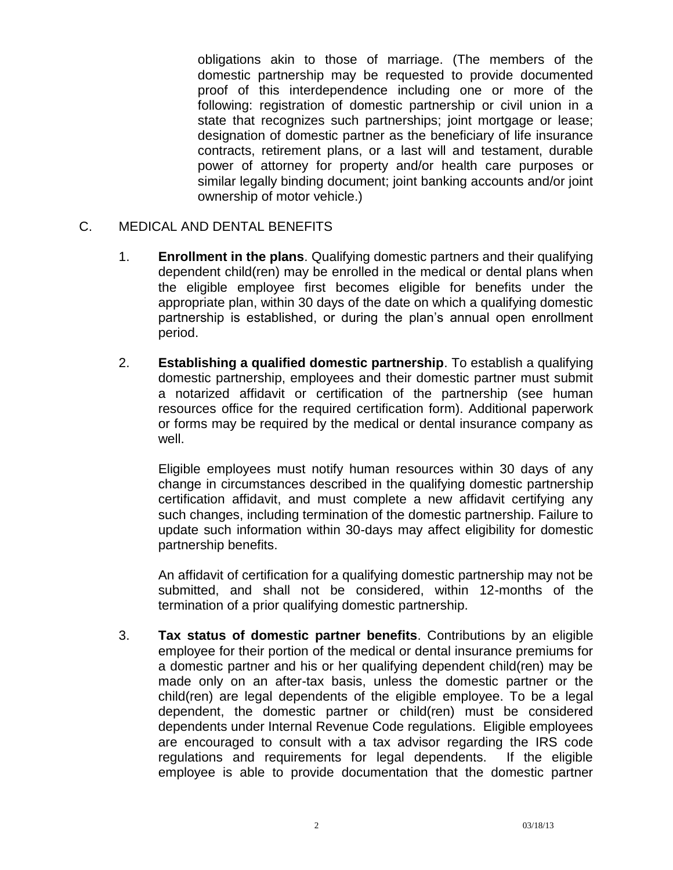obligations akin to those of marriage. (The members of the domestic partnership may be requested to provide documented proof of this interdependence including one or more of the following: registration of domestic partnership or civil union in a state that recognizes such partnerships; joint mortgage or lease; designation of domestic partner as the beneficiary of life insurance contracts, retirement plans, or a last will and testament, durable power of attorney for property and/or health care purposes or similar legally binding document; joint banking accounts and/or joint ownership of motor vehicle.)

### C. MEDICAL AND DENTAL BENEFITS

- 1. **Enrollment in the plans**. Qualifying domestic partners and their qualifying dependent child(ren) may be enrolled in the medical or dental plans when the eligible employee first becomes eligible for benefits under the appropriate plan, within 30 days of the date on which a qualifying domestic partnership is established, or during the plan's annual open enrollment period.
- 2. **Establishing a qualified domestic partnership**. To establish a qualifying domestic partnership, employees and their domestic partner must submit a notarized affidavit or certification of the partnership (see human resources office for the required certification form). Additional paperwork or forms may be required by the medical or dental insurance company as well.

Eligible employees must notify human resources within 30 days of any change in circumstances described in the qualifying domestic partnership certification affidavit, and must complete a new affidavit certifying any such changes, including termination of the domestic partnership. Failure to update such information within 30-days may affect eligibility for domestic partnership benefits.

An affidavit of certification for a qualifying domestic partnership may not be submitted, and shall not be considered, within 12-months of the termination of a prior qualifying domestic partnership.

3. **Tax status of domestic partner benefits**. Contributions by an eligible employee for their portion of the medical or dental insurance premiums for a domestic partner and his or her qualifying dependent child(ren) may be made only on an after-tax basis, unless the domestic partner or the child(ren) are legal dependents of the eligible employee. To be a legal dependent, the domestic partner or child(ren) must be considered dependents under Internal Revenue Code regulations. Eligible employees are encouraged to consult with a tax advisor regarding the IRS code regulations and requirements for legal dependents. If the eligible employee is able to provide documentation that the domestic partner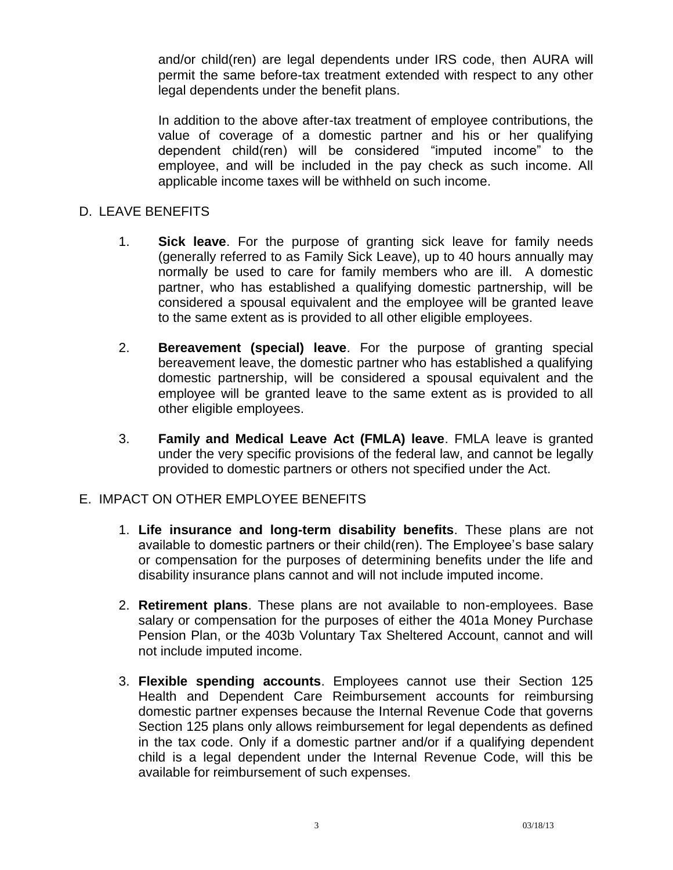and/or child(ren) are legal dependents under IRS code, then AURA will permit the same before-tax treatment extended with respect to any other legal dependents under the benefit plans.

In addition to the above after-tax treatment of employee contributions, the value of coverage of a domestic partner and his or her qualifying dependent child(ren) will be considered "imputed income" to the employee, and will be included in the pay check as such income. All applicable income taxes will be withheld on such income.

### D. LEAVE BENEFITS

- 1. **Sick leave**. For the purpose of granting sick leave for family needs (generally referred to as Family Sick Leave), up to 40 hours annually may normally be used to care for family members who are ill. A domestic partner, who has established a qualifying domestic partnership, will be considered a spousal equivalent and the employee will be granted leave to the same extent as is provided to all other eligible employees.
- 2. **Bereavement (special) leave**. For the purpose of granting special bereavement leave, the domestic partner who has established a qualifying domestic partnership, will be considered a spousal equivalent and the employee will be granted leave to the same extent as is provided to all other eligible employees.
- 3. **Family and Medical Leave Act (FMLA) leave**. FMLA leave is granted under the very specific provisions of the federal law, and cannot be legally provided to domestic partners or others not specified under the Act.

### E. IMPACT ON OTHER EMPLOYEE BENEFITS

- 1. **Life insurance and long-term disability benefits**. These plans are not available to domestic partners or their child(ren). The Employee's base salary or compensation for the purposes of determining benefits under the life and disability insurance plans cannot and will not include imputed income.
- 2. **Retirement plans**. These plans are not available to non-employees. Base salary or compensation for the purposes of either the 401a Money Purchase Pension Plan, or the 403b Voluntary Tax Sheltered Account, cannot and will not include imputed income.
- 3. **Flexible spending accounts**. Employees cannot use their Section 125 Health and Dependent Care Reimbursement accounts for reimbursing domestic partner expenses because the Internal Revenue Code that governs Section 125 plans only allows reimbursement for legal dependents as defined in the tax code. Only if a domestic partner and/or if a qualifying dependent child is a legal dependent under the Internal Revenue Code, will this be available for reimbursement of such expenses.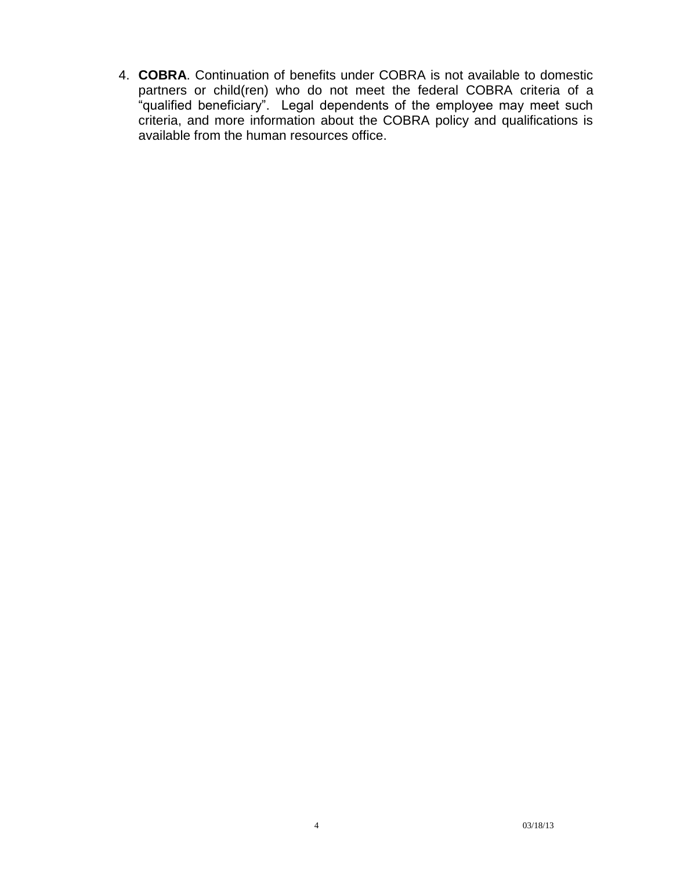4. **COBRA**. Continuation of benefits under COBRA is not available to domestic partners or child(ren) who do not meet the federal COBRA criteria of a "qualified beneficiary". Legal dependents of the employee may meet such criteria, and more information about the COBRA policy and qualifications is available from the human resources office.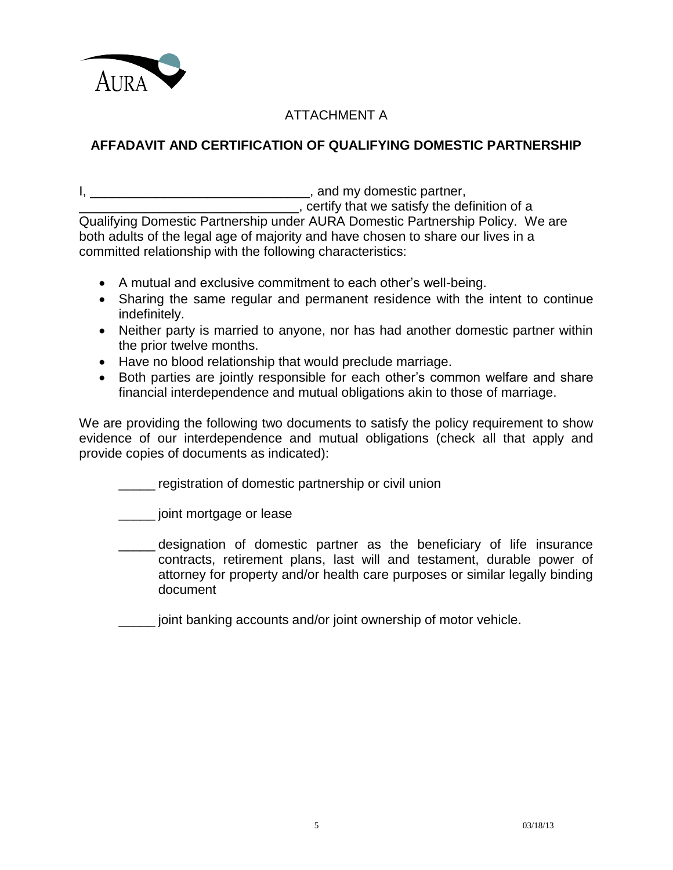

# ATTACHMENT A

## **AFFADAVIT AND CERTIFICATION OF QUALIFYING DOMESTIC PARTNERSHIP**

I, \_\_\_\_\_\_\_\_\_\_\_\_\_\_\_\_\_\_\_\_\_\_\_\_\_\_\_\_\_\_, and my domestic partner,

\_\_\_\_\_\_\_\_\_\_\_\_\_\_\_\_\_\_\_\_\_\_\_\_\_\_\_\_\_\_, certify that we satisfy the definition of a Qualifying Domestic Partnership under AURA Domestic Partnership Policy. We are both adults of the legal age of majority and have chosen to share our lives in a committed relationship with the following characteristics:

- A mutual and exclusive commitment to each other's well-being.
- Sharing the same regular and permanent residence with the intent to continue indefinitely.
- Neither party is married to anyone, nor has had another domestic partner within the prior twelve months.
- Have no blood relationship that would preclude marriage.
- Both parties are jointly responsible for each other's common welfare and share financial interdependence and mutual obligations akin to those of marriage.

We are providing the following two documents to satisfy the policy requirement to show evidence of our interdependence and mutual obligations (check all that apply and provide copies of documents as indicated):

\_\_\_\_\_ registration of domestic partnership or civil union

\_\_\_\_\_ joint mortgage or lease

designation of domestic partner as the beneficiary of life insurance contracts, retirement plans, last will and testament, durable power of attorney for property and/or health care purposes or similar legally binding document

joint banking accounts and/or joint ownership of motor vehicle.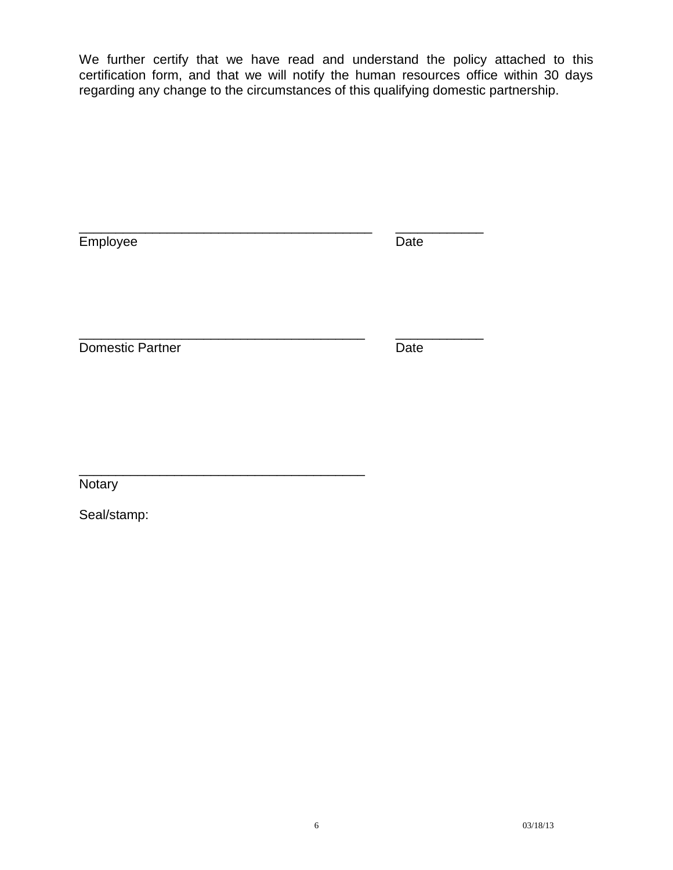We further certify that we have read and understand the policy attached to this certification form, and that we will notify the human resources office within 30 days regarding any change to the circumstances of this qualifying domestic partnership.

| Employee                | Date |
|-------------------------|------|
| <b>Domestic Partner</b> | Date |

\_\_\_\_\_\_\_\_\_\_\_\_\_\_\_\_\_\_\_\_\_\_\_\_\_\_\_\_\_\_\_\_\_\_\_\_\_\_\_

Notary

Seal/stamp: